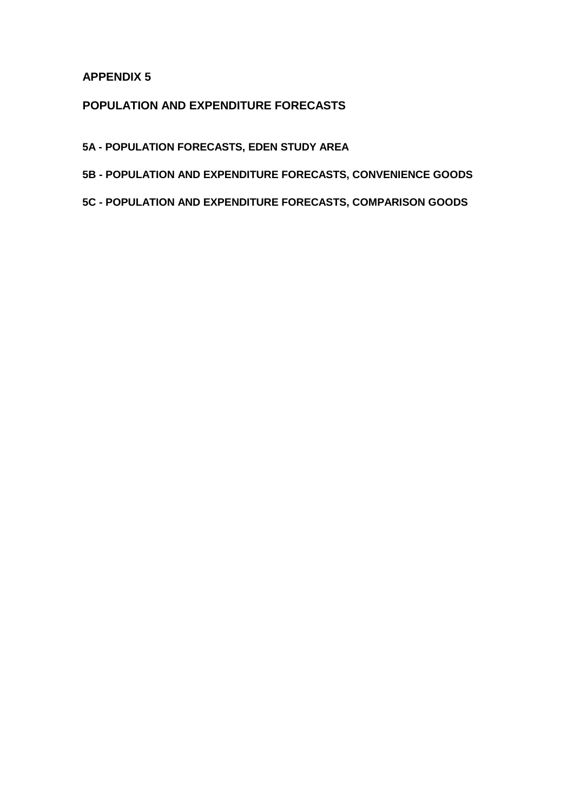## **APPENDIX 5**

## **POPULATION AND EXPENDITURE FORECASTS**

- **5A POPULATION FORECASTS, EDEN STUDY AREA**
- **5B POPULATION AND EXPENDITURE FORECASTS, CONVENIENCE GOODS**
- **5C POPULATION AND EXPENDITURE FORECASTS, COMPARISON GOODS**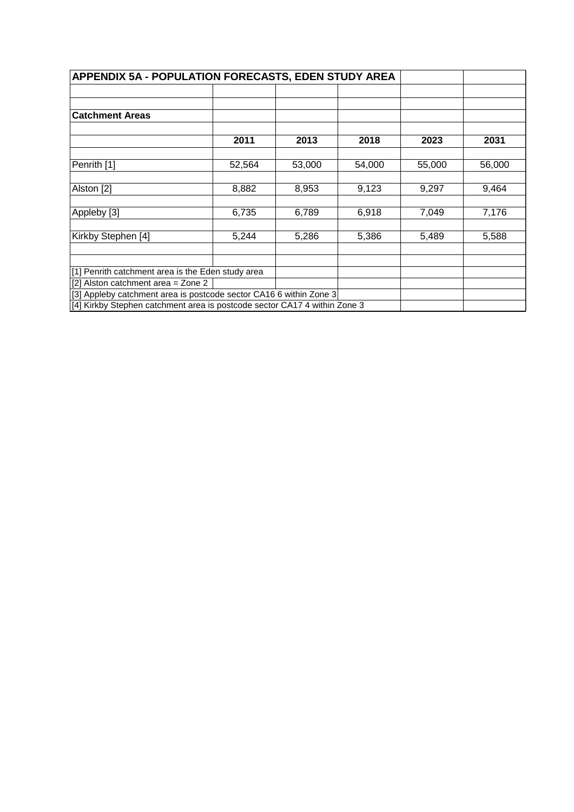| APPENDIX 5A - POPULATION FORECASTS, EDEN STUDY AREA                       |        |        |        |        |        |
|---------------------------------------------------------------------------|--------|--------|--------|--------|--------|
|                                                                           |        |        |        |        |        |
| <b>Catchment Areas</b>                                                    |        |        |        |        |        |
|                                                                           | 2011   | 2013   | 2018   | 2023   | 2031   |
| Penrith [1]                                                               | 52,564 | 53,000 | 54,000 | 55,000 | 56,000 |
| Alston [2]                                                                | 8,882  | 8,953  | 9,123  | 9,297  | 9,464  |
| Appleby [3]                                                               | 6,735  | 6,789  | 6,918  | 7,049  | 7,176  |
| Kirkby Stephen [4]                                                        | 5,244  | 5,286  | 5,386  | 5,489  | 5,588  |
|                                                                           |        |        |        |        |        |
| [1] Penrith catchment area is the Eden study area                         |        |        |        |        |        |
| [2] Alston catchment area = Zone 2                                        |        |        |        |        |        |
| [3] Appleby catchment area is postcode sector CA16 6 within Zone 3        |        |        |        |        |        |
| [4] Kirkby Stephen catchment area is postcode sector CA17 4 within Zone 3 |        |        |        |        |        |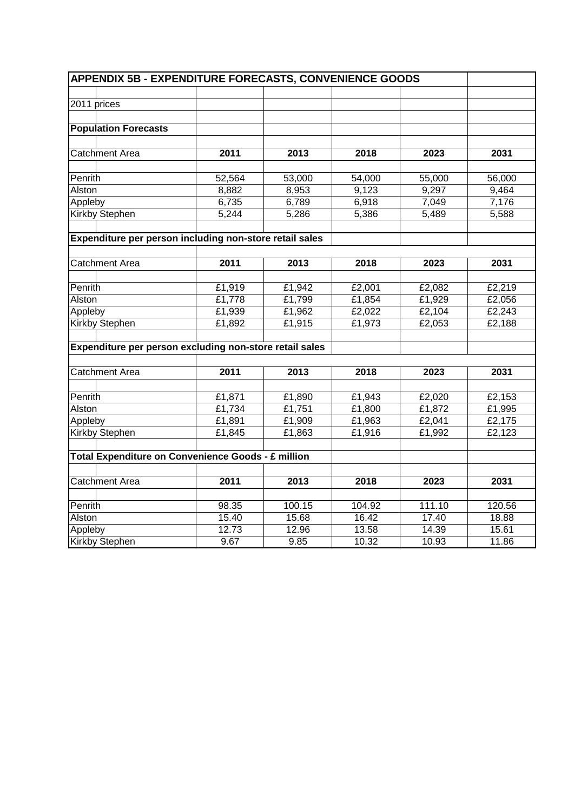| <b>APPENDIX 5B - EXPENDITURE FORECASTS, CONVENIENCE GOODS</b> |        |        |        |        |        |  |  |
|---------------------------------------------------------------|--------|--------|--------|--------|--------|--|--|
|                                                               |        |        |        |        |        |  |  |
| 2011 prices                                                   |        |        |        |        |        |  |  |
|                                                               |        |        |        |        |        |  |  |
| <b>Population Forecasts</b>                                   |        |        |        |        |        |  |  |
|                                                               |        |        |        |        |        |  |  |
| <b>Catchment Area</b>                                         | 2011   | 2013   | 2018   | 2023   | 2031   |  |  |
|                                                               |        |        |        |        |        |  |  |
| Penrith                                                       | 52,564 | 53,000 | 54,000 | 55,000 | 56,000 |  |  |
| Alston                                                        | 8,882  | 8,953  | 9,123  | 9,297  | 9,464  |  |  |
| Appleby                                                       | 6,735  | 6,789  | 6,918  | 7,049  | 7,176  |  |  |
| Kirkby Stephen                                                | 5,244  | 5,286  | 5,386  | 5,489  | 5,588  |  |  |
|                                                               |        |        |        |        |        |  |  |
| Expenditure per person including non-store retail sales       |        |        |        |        |        |  |  |
|                                                               |        |        |        |        |        |  |  |
| <b>Catchment Area</b>                                         | 2011   | 2013   | 2018   | 2023   | 2031   |  |  |
|                                                               |        |        |        |        |        |  |  |
| Penrith                                                       | £1,919 | £1,942 | £2,001 | £2,082 | £2,219 |  |  |
| Alston                                                        | £1,778 | £1,799 | E1,854 | £1,929 | £2,056 |  |  |
| Appleby                                                       | £1,939 | £1,962 | £2,022 | £2,104 | £2,243 |  |  |
| Kirkby Stephen                                                | £1,892 | £1,915 | £1,973 | £2,053 | £2,188 |  |  |
|                                                               |        |        |        |        |        |  |  |
| Expenditure per person excluding non-store retail sales       |        |        |        |        |        |  |  |
|                                                               |        |        |        |        |        |  |  |
| <b>Catchment Area</b>                                         | 2011   | 2013   | 2018   | 2023   | 2031   |  |  |
|                                                               |        |        |        |        |        |  |  |
| Penrith                                                       | £1,871 | £1,890 | £1,943 | £2,020 | £2,153 |  |  |
| Alston                                                        | £1,734 | £1,751 | £1,800 | £1,872 | £1,995 |  |  |
| Appleby                                                       | £1,891 | £1,909 | £1,963 | £2,041 | £2,175 |  |  |
| <b>Kirkby Stephen</b>                                         | £1,845 | £1,863 | £1,916 | £1,992 | £2,123 |  |  |
|                                                               |        |        |        |        |        |  |  |
| Total Expenditure on Convenience Goods - £ million            |        |        |        |        |        |  |  |
|                                                               |        |        |        |        |        |  |  |
| <b>Catchment Area</b>                                         | 2011   | 2013   | 2018   | 2023   | 2031   |  |  |
|                                                               |        |        |        |        |        |  |  |
| Penrith                                                       | 98.35  | 100.15 | 104.92 | 111.10 | 120.56 |  |  |
| Alston                                                        | 15.40  | 15.68  | 16.42  | 17.40  | 18.88  |  |  |
| Appleby                                                       | 12.73  | 12.96  | 13.58  | 14.39  | 15.61  |  |  |
| Kirkby Stephen                                                | 9.67   | 9.85   | 10.32  | 10.93  | 11.86  |  |  |